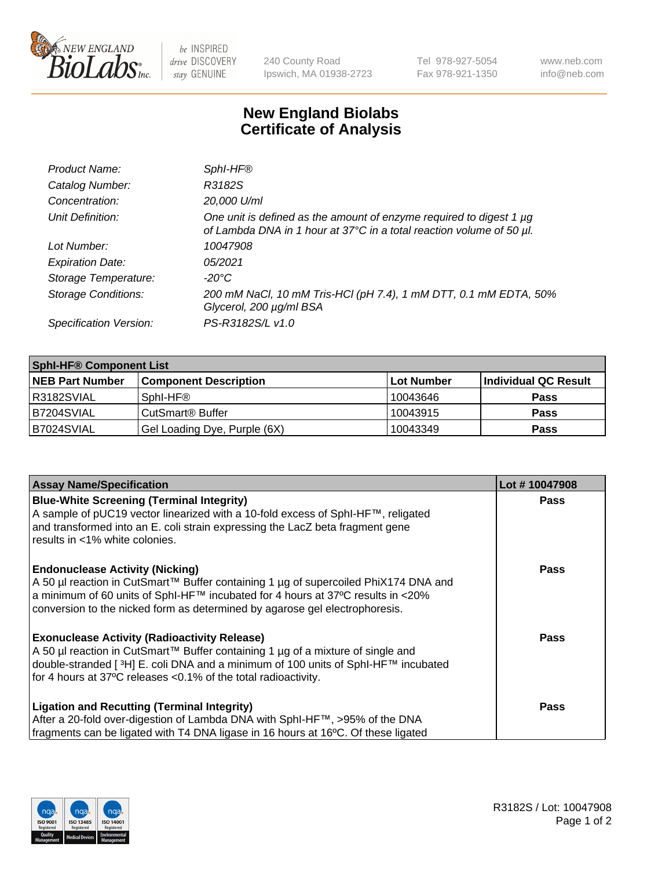

 $be$  INSPIRED drive DISCOVERY stay GENUINE

240 County Road Ipswich, MA 01938-2723 Tel 978-927-5054 Fax 978-921-1350 www.neb.com info@neb.com

## **New England Biolabs Certificate of Analysis**

| Product Name:              | Sphl-HF <sup>®</sup>                                                                                                                             |
|----------------------------|--------------------------------------------------------------------------------------------------------------------------------------------------|
| Catalog Number:            | R3182S                                                                                                                                           |
| Concentration:             | 20,000 U/ml                                                                                                                                      |
| Unit Definition:           | One unit is defined as the amount of enzyme required to digest 1 $\mu$ g<br>of Lambda DNA in 1 hour at 37°C in a total reaction volume of 50 µl. |
| Lot Number:                | 10047908                                                                                                                                         |
| <b>Expiration Date:</b>    | 05/2021                                                                                                                                          |
| Storage Temperature:       | -20°C                                                                                                                                            |
| <b>Storage Conditions:</b> | 200 mM NaCl, 10 mM Tris-HCl (pH 7.4), 1 mM DTT, 0.1 mM EDTA, 50%<br>Glycerol, 200 µg/ml BSA                                                      |
| Specification Version:     | PS-R3182S/L v1.0                                                                                                                                 |

| <b>Sphi-HF® Component List</b> |                              |            |                      |  |  |
|--------------------------------|------------------------------|------------|----------------------|--|--|
| <b>NEB Part Number</b>         | <b>Component Description</b> | Lot Number | Individual QC Result |  |  |
| I R3182SVIAL                   | Sphl-HF <sup>®</sup>         | 10043646   | <b>Pass</b>          |  |  |
| B7204SVIAL                     | CutSmart <sup>®</sup> Buffer | 10043915   | <b>Pass</b>          |  |  |
| B7024SVIAL                     | Gel Loading Dye, Purple (6X) | 10043349   | <b>Pass</b>          |  |  |

| <b>Assay Name/Specification</b>                                                                                                                                                                                                                                                                          | Lot #10047908 |
|----------------------------------------------------------------------------------------------------------------------------------------------------------------------------------------------------------------------------------------------------------------------------------------------------------|---------------|
| <b>Blue-White Screening (Terminal Integrity)</b><br>A sample of pUC19 vector linearized with a 10-fold excess of SphI-HF™, religated<br>and transformed into an E. coli strain expressing the LacZ beta fragment gene                                                                                    | <b>Pass</b>   |
| results in <1% white colonies.                                                                                                                                                                                                                                                                           |               |
| <b>Endonuclease Activity (Nicking)</b><br>A 50 µl reaction in CutSmart™ Buffer containing 1 µg of supercoiled PhiX174 DNA and<br>$\alpha$ a minimum of 60 units of SphI-HF™ incubated for 4 hours at 37°C results in <20%<br>conversion to the nicked form as determined by agarose gel electrophoresis. | <b>Pass</b>   |
| <b>Exonuclease Activity (Radioactivity Release)</b><br>  A 50 µl reaction in CutSmart™ Buffer containing 1 µg of a mixture of single and<br>double-stranded [3H] E. coli DNA and a minimum of 100 units of SphI-HF™ incubated<br>for 4 hours at 37°C releases <0.1% of the total radioactivity.          | Pass          |
| <b>Ligation and Recutting (Terminal Integrity)</b><br>After a 20-fold over-digestion of Lambda DNA with SphI-HF™, >95% of the DNA                                                                                                                                                                        | <b>Pass</b>   |
| fragments can be ligated with T4 DNA ligase in 16 hours at 16°C. Of these ligated                                                                                                                                                                                                                        |               |